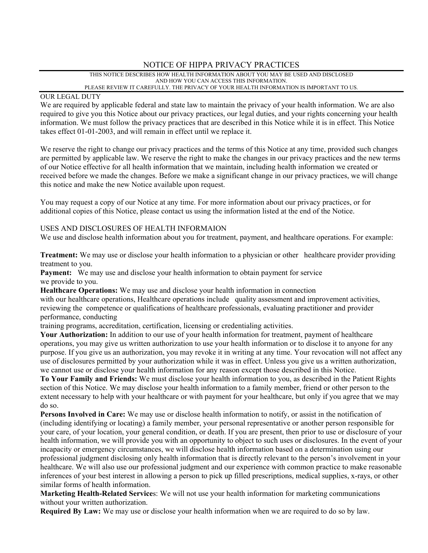# NOTICE OF HIPPA PRIVACY PRACTICES

THIS NOTICE DESCRIBES HOW HEALTH INFORMATION ABOUT YOU MAY BE USED AND DISCLOSED AND HOW YOU CAN ACCESS THIS INFORMATION. PLEASE REVIEW IT CAREFULLY. THE PRIVACY OF YOUR HEALTH INFORMATION IS IMPORTANT TO US.

## OUR LEGAL DUTY

We are required by applicable federal and state law to maintain the privacy of your health information. We are also required to give you this Notice about our privacy practices, our legal duties, and your rights concerning your health information. We must follow the privacy practices that are described in this Notice while it is in effect. This Notice takes effect 01-01-2003, and will remain in effect until we replace it.

We reserve the right to change our privacy practices and the terms of this Notice at any time, provided such changes are permitted by applicable law. We reserve the right to make the changes in our privacy practices and the new terms of our Notice effective for all health information that we maintain, including health information we created or received before we made the changes. Before we make a significant change in our privacy practices, we will change this notice and make the new Notice available upon request.

You may request a copy of our Notice at any time. For more information about our privacy practices, or for additional copies of this Notice, please contact us using the information listed at the end of the Notice.

# USES AND DISCLOSURES OF HEALTH INFORMAION

We use and disclose health information about you for treatment, payment, and healthcare operations. For example:

**Treatment:** We may use or disclose your health information to a physician or other healthcare provider providing treatment to you.

Payment: We may use and disclose your health information to obtain payment for service we provide to you.

**Healthcare Operations:** We may use and disclose your health information in connection

with our healthcare operations, Healthcare operations include quality assessment and improvement activities, reviewing the competence or qualifications of healthcare professionals, evaluating practitioner and provider performance, conducting

training programs, accreditation, certification, licensing or credentialing activities.

Your Authorization: In addition to our use of your health information for treatment, payment of healthcare operations, you may give us written authorization to use your health information or to disclose it to anyone for any purpose. If you give us an authorization, you may revoke it in writing at any time. Your revocation will not affect any use of disclosures permitted by your authorization while it was in effect. Unless you give us a written authorization, we cannot use or disclose your health information for any reason except those described in this Notice.

**To Your Family and Friends:** We must disclose your health information to you, as described in the Patient Rights section of this Notice. We may disclose your health information to a family member, friend or other person to the extent necessary to help with your healthcare or with payment for your healthcare, but only if you agree that we may do so.

**Persons Involved in Care:** We may use or disclose health information to notify, or assist in the notification of (including identifying or locating) a family member, your personal representative or another person responsible for your care, of your location, your general condition, or death. If you are present, then prior to use or disclosure of your health information, we will provide you with an opportunity to object to such uses or disclosures. In the event of your incapacity or emergency circumstances, we will disclose health information based on a determination using our professional judgment disclosing only health information that is directly relevant to the person's involvement in your healthcare. We will also use our professional judgment and our experience with common practice to make reasonable inferences of your best interest in allowing a person to pick up filled prescriptions, medical supplies, x-rays, or other similar forms of health information.

**Marketing Health-Related Service**s: We will not use your health information for marketing communications without your written authorization.

**Required By Law:** We may use or disclose your health information when we are required to do so by law.